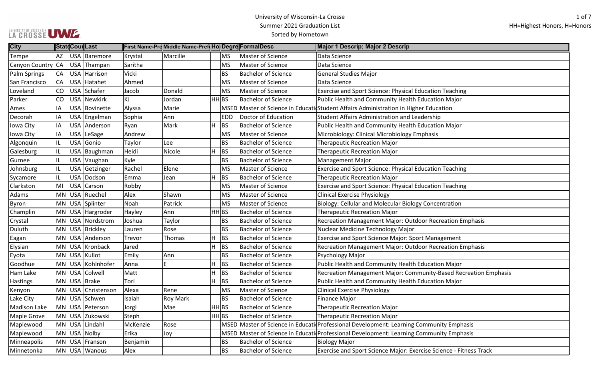| <b>City</b>         |           | <b>Stat Cour Last</b>   |          | First Name-PreMiddle Name-Pref(Ho Degre FormalDesc |   |                    |                            | Major 1 Descrip; Major 2 Descrip                                                        |
|---------------------|-----------|-------------------------|----------|----------------------------------------------------|---|--------------------|----------------------------|-----------------------------------------------------------------------------------------|
| Tempe               | AZ        | USA Baremore            | Krystal  | Marcille                                           |   | <b>MS</b>          | Master of Science          | Data Science                                                                            |
| Canyon Country CA   |           | USA Thampan             | Saritha  |                                                    |   | <b>MS</b>          | Master of Science          | Data Science                                                                            |
| <b>Palm Springs</b> | <b>CA</b> | USA Harrison            | Vicki    |                                                    |   | <b>BS</b>          | <b>Bachelor of Science</b> | <b>General Studies Major</b>                                                            |
| San Francisco       | <b>CA</b> | USA Hatahet             | Ahmed    |                                                    |   | <b>MS</b>          | Master of Science          | Data Science                                                                            |
| Loveland            | CO        | USA Schafer             | Jacob    | Donald                                             |   | <b>MS</b>          | Master of Science          | Exercise and Sport Science: Physical Education Teaching                                 |
| Parker              | CO        | USA Newkirk             | ΚJ       | Jordan                                             |   | $HH$ <sub>BS</sub> | <b>Bachelor of Science</b> | Public Health and Community Health Education Major                                      |
| Ames                | IA        | USA Bovinette           | Alyssa   | Marie                                              |   |                    |                            | MSED Master of Science in Educati Student Affairs Administration in Higher Education    |
| Decorah             | IA        | USA Engelman            | Sophia   | Ann                                                |   | <b>EDD</b>         | Doctor of Education        | Student Affairs Administration and Leadership                                           |
| Iowa City           | IA        | USA Anderson            | Ryan     | Mark                                               | н | <b>BS</b>          | <b>Bachelor of Science</b> | Public Health and Community Health Education Major                                      |
| Iowa City           | IA        | USA LeSage              | Andrew   |                                                    |   | <b>MS</b>          | Master of Science          | Microbiology: Clinical Microbiology Emphasis                                            |
| Algonquin           | IL        | <b>USA</b><br>Gonio     | Taylor   | Lee                                                |   | BS                 | <b>Bachelor of Science</b> | <b>Therapeutic Recreation Major</b>                                                     |
| Galesburg           |           | USA Baughman            | Heidi    | Nicole                                             | н | <b>BS</b>          | <b>Bachelor of Science</b> | <b>Therapeutic Recreation Major</b>                                                     |
| Gurnee              | IIL       | USA Vaughan             | Kyle     |                                                    |   | <b>BS</b>          | <b>Bachelor of Science</b> | <b>Management Major</b>                                                                 |
| Johnsburg           | IL        | <b>USA</b><br>Getzinger | Rachel   | Elene                                              |   | <b>MS</b>          | Master of Science          | Exercise and Sport Science: Physical Education Teaching                                 |
| Sycamore            | 1         | USA Dodson              | Emma     | Jean                                               | H | <b>BS</b>          | <b>Bachelor of Science</b> | <b>Therapeutic Recreation Major</b>                                                     |
| Clarkston           | MI        | USA Carson              | Robby    |                                                    |   | <b>MS</b>          | Master of Science          | Exercise and Sport Science: Physical Education Teaching                                 |
| Adams               |           | MN USA Ruechel          | Alex     | Shawn                                              |   | <b>MS</b>          | Master of Science          | <b>Clinical Exercise Physiology</b>                                                     |
| Byron               |           | MN USA<br>Splinter      | Noah     | Patrick                                            |   | <b>MS</b>          | Master of Science          | Biology: Cellular and Molecular Biology Concentration                                   |
| Champlin            |           | MN USA Hargroder        | Hayley   | Ann                                                |   | $HH$ <sub>BS</sub> | <b>Bachelor of Science</b> | <b>Therapeutic Recreation Major</b>                                                     |
| Crystal             |           | MN USA Nordstrom        | Joshua   | Taylor                                             |   | <b>BS</b>          | <b>Bachelor of Science</b> | Recreation Management Major: Outdoor Recreation Emphasis                                |
| Duluth              |           | MN USA Brickley         | Lauren   | Rose                                               |   | BS                 | <b>Bachelor of Science</b> | Nuclear Medicine Technology Major                                                       |
| Eagan               |           | MN USA Anderson         | Trevor   | Thomas                                             | H | <b>BS</b>          | <b>Bachelor of Science</b> | Exercise and Sport Science Major: Sport Management                                      |
| Elysian             |           | MN USA Kronback         | Jared    |                                                    |   | <b>BS</b>          | <b>Bachelor of Science</b> | Recreation Management Major: Outdoor Recreation Emphasis                                |
| Eyota               |           | MN USA Kullot           | Emily    | Ann                                                |   | BS                 | <b>Bachelor of Science</b> | Psychology Major                                                                        |
| Goodhue             |           | MN USA Kohlnhofer       | Anna     | E                                                  | н | <b>BS</b>          | <b>Bachelor of Science</b> | Public Health and Community Health Education Major                                      |
| Ham Lake            |           | MN USA<br>Colwell       | Matt     |                                                    | н | <b>BS</b>          | <b>Bachelor of Science</b> | Recreation Management Major: Community-Based Recreation Emphasis                        |
| <b>Hastings</b>     |           | MN USA Brake            | Tori     |                                                    | H | <b>BS</b>          | <b>Bachelor of Science</b> | Public Health and Community Health Education Major                                      |
| Kenyon              |           | MN USA Christenson      | Alexa    | Rene                                               |   | <b>MS</b>          | Master of Science          | <b>Clinical Exercise Physiology</b>                                                     |
| Lake City           |           | MN USA Schwen           | Isaiah   | <b>Roy Mark</b>                                    |   | <b>BS</b>          | <b>Bachelor of Science</b> | <b>Finance Major</b>                                                                    |
| <b>Madison Lake</b> |           | MN USA Peterson         | Jorgi    | Mae                                                |   | $HH$ <sub>BS</sub> | <b>Bachelor of Science</b> | <b>Therapeutic Recreation Major</b>                                                     |
| <b>Maple Grove</b>  |           | MN USA Zukowski         | Steph    |                                                    |   | HH BS              | <b>Bachelor of Science</b> | <b>Therapeutic Recreation Major</b>                                                     |
| Maplewood           |           | MN USA Lindahl          | McKenzie | Rose                                               |   |                    |                            | MSED Master of Science in Educati Professional Development: Learning Community Emphasis |
| Maplewood           |           | MN USA Nolby            | Erika    | Joy                                                |   |                    |                            | MSED Master of Science in Educati Professional Development: Learning Community Emphasis |
| Minneapolis         |           | MN USA Franson          | Benjamin |                                                    |   | <b>BS</b>          | <b>Bachelor of Science</b> | <b>Biology Major</b>                                                                    |
| Minnetonka          |           | MN USA Wanous           | Alex     |                                                    |   | <b>BS</b>          | <b>Bachelor of Science</b> | Exercise and Sport Science Major: Exercise Science - Fitness Track                      |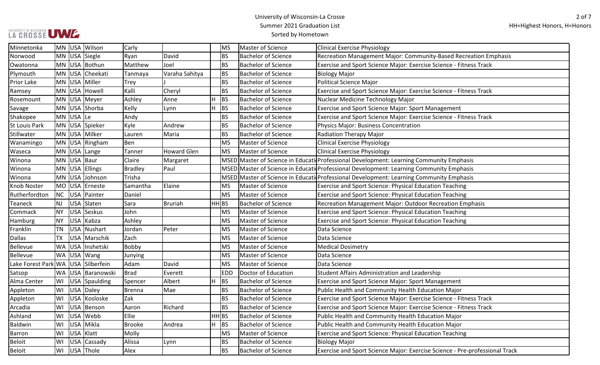# UWWERSITY OF WISCONSIN UWW

| Minnetonka                         |           |           | MN USA Wilson     | Carly          |                    |                    | <b>MS</b>  | Master of Science          | <b>Clinical Exercise Physiology</b>                                                     |
|------------------------------------|-----------|-----------|-------------------|----------------|--------------------|--------------------|------------|----------------------------|-----------------------------------------------------------------------------------------|
| Norwood                            |           |           | MN USA Siegle     | Ryan           | David              |                    | <b>BS</b>  | <b>Bachelor of Science</b> | Recreation Management Major: Community-Based Recreation Emphasis                        |
| Owatonna                           |           |           | MN USA Bothun     | Matthew        | Joel               |                    | <b>BS</b>  | Bachelor of Science        | Exercise and Sport Science Major: Exercise Science - Fitness Track                      |
| Plymouth                           |           |           | MN USA Cheekati   | Tanmaya        | Varaha Sahitya     |                    | <b>BS</b>  | <b>Bachelor of Science</b> | <b>Biology Major</b>                                                                    |
| Prior Lake                         |           |           | MN USA Miller     | <b>Trey</b>    |                    |                    | <b>BS</b>  | Bachelor of Science        | <b>Political Science Major</b>                                                          |
| Ramsey                             |           |           | MN USA Howell     | Kalli          | Cheryl             |                    | <b>BS</b>  | <b>Bachelor of Science</b> | Exercise and Sport Science Major: Exercise Science - Fitness Track                      |
| Rosemount                          |           |           | MN USA Meyer      | Ashley         | Anne               | H                  | <b>BS</b>  | <b>Bachelor of Science</b> | Nuclear Medicine Technology Major                                                       |
| Savage                             |           |           | MN USA Shorba     | Kelly          | Lynn               | H                  | BS         | <b>Bachelor of Science</b> | Exercise and Sport Science Major: Sport Management                                      |
| Shakopee                           |           | MN USA Le |                   | Andy           |                    |                    | <b>BS</b>  | <b>Bachelor of Science</b> | Exercise and Sport Science Major: Exercise Science - Fitness Track                      |
| <b>St Louis Park</b>               |           |           | MN USA Spieker    | Kyle           | Andrew             |                    | <b>BS</b>  | <b>Bachelor of Science</b> | <b>Physics Major: Business Concentration</b>                                            |
| Stillwater                         |           |           | MN USA Milker     | Lauren         | Maria              |                    | <b>BS</b>  | <b>Bachelor of Science</b> | Radiation Therapy Major                                                                 |
| Wanamingo                          |           |           | MN USA Ringham    | Ben            |                    |                    | <b>MS</b>  | Master of Science          | <b>Clinical Exercise Physiology</b>                                                     |
| Waseca                             |           |           | MN USA Lange      | Tanner         | <b>Howard Glen</b> |                    | <b>MS</b>  | Master of Science          | <b>Clinical Exercise Physiology</b>                                                     |
| Winona                             |           |           | MN USA Baur       | Claire         | Margaret           |                    |            |                            | MSED Master of Science in Educati Professional Development: Learning Community Emphasis |
| Winona                             |           |           | MN USA Ellings    | <b>Bradley</b> | Paul               |                    |            |                            | MSED Master of Science in Educati Professional Development: Learning Community Emphasis |
| Winona                             |           |           | MN USA Johnson    | Trisha         |                    |                    |            |                            | MSED Master of Science in Educati Professional Development: Learning Community Emphasis |
| Knob Noster                        |           | MO USA    | Erneste           | Samantha       | Elaine             |                    | <b>MS</b>  | Master of Science          | Exercise and Sport Science: Physical Education Teaching                                 |
| Rutherfordton                      | NC        |           | USA Painter       | Daniel         |                    |                    | <b>MS</b>  | Master of Science          | Exercise and Sport Science: Physical Education Teaching                                 |
| Teaneck                            | <b>NJ</b> |           | USA Slaten        | Sara           | <b>Bruriah</b>     | HH BS              |            | <b>Bachelor of Science</b> | Recreation Management Major: Outdoor Recreation Emphasis                                |
| Commack                            | NY.       |           | USA Seskus        | John           |                    |                    | <b>MS</b>  | Master of Science          | Exercise and Sport Science: Physical Education Teaching                                 |
| Hamburg                            | <b>NY</b> |           | USA Kabza         | Ashley         |                    |                    | <b>MS</b>  | <b>Master of Science</b>   | Exercise and Sport Science: Physical Education Teaching                                 |
| Franklin                           | <b>TN</b> |           | USA Nushart       | Jordan         | Peter              |                    | <b>MS</b>  | Master of Science          | Data Science                                                                            |
| <b>Dallas</b>                      | TX        |           | USA Marschik      | Zach           |                    |                    | <b>MS</b>  | Master of Science          | Data Science                                                                            |
| <b>Bellevue</b>                    |           |           | WA USA Inshetski  | Bobby          |                    |                    | <b>MS</b>  | Master of Science          | <b>Medical Dosimetry</b>                                                                |
| Bellevue                           |           |           | WA USA Wang       | Junying        |                    |                    | <b>MS</b>  | Master of Science          | Data Science                                                                            |
| Lake Forest Park WA USA Silberfein |           |           |                   | Adam           | David              |                    | <b>MS</b>  | Master of Science          | Data Science                                                                            |
| Satsop                             |           |           | WA USA Baranowski | <b>Brad</b>    | Everett            |                    | <b>EDD</b> | Doctor of Education        | Student Affairs Administration and Leadership                                           |
| Alma Center                        | WI        |           | USA Spaulding     | Spencer        | Albert             | H                  | <b>BS</b>  | <b>Bachelor of Science</b> | Exercise and Sport Science Major: Sport Management                                      |
| Appleton                           | WI        |           | USA Daley         | <b>Brenna</b>  | Mae                |                    | <b>BS</b>  | <b>Bachelor of Science</b> | Public Health and Community Health Education Major                                      |
| Appleton                           | WI        |           | USA Kosloske      | Zak            |                    |                    | <b>BS</b>  | <b>Bachelor of Science</b> | Exercise and Sport Science Major: Exercise Science - Fitness Track                      |
| Arcadia                            | WI        |           | USA   Benson      | Aaron          | Richard            |                    | <b>BS</b>  | <b>Bachelor of Science</b> | Exercise and Sport Science Major: Exercise Science - Fitness Track                      |
| Ashland                            |           |           | WI USA Webb       | Ellie          |                    | $HH$ <sub>BS</sub> |            | <b>Bachelor of Science</b> | Public Health and Community Health Education Major                                      |
| Baldwin                            | WI        |           | USA Mikla         | <b>Brooke</b>  | Andrea             | $H$ BS             |            | <b>Bachelor of Science</b> | Public Health and Community Health Education Major                                      |
| Barron                             |           |           | WI USA Klatt      | Molly          |                    |                    | <b>MS</b>  | Master of Science          | Exercise and Sport Science: Physical Education Teaching                                 |
| <b>Beloit</b>                      | WI        |           | USA Cassady       | Alissa         | Lynn               |                    | <b>BS</b>  | <b>Bachelor of Science</b> | <b>Biology Major</b>                                                                    |
| <b>Beloit</b>                      |           |           | WI USA Thole      | Alex           |                    |                    | <b>BS</b>  | <b>Bachelor of Science</b> | Exercise and Sport Science Major: Exercise Science - Pre-professional Track             |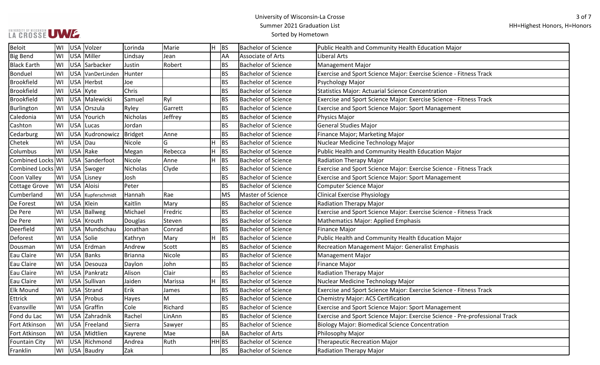# UWWERSITY OF WISCONSIN UWW

| Beloit               | WI  | USA Volzer        | Lorinda  | Marie   | H.    | BS        | <b>Bachelor of Science</b> | Public Health and Community Health Education Major                          |
|----------------------|-----|-------------------|----------|---------|-------|-----------|----------------------------|-----------------------------------------------------------------------------|
| <b>Big Bend</b>      | WI  | USA Miller        | Lindsay  | Jean    |       | AA        | Associate of Arts          | Liberal Arts                                                                |
| <b>Black Earth</b>   | WI  | USA Sarbacker     | Justin   | Robert  |       | <b>BS</b> | <b>Bachelor of Science</b> | <b>Management Major</b>                                                     |
| Bonduel              | WI  | USA VanDerLinden  | Hunter   |         |       | BS        | <b>Bachelor of Science</b> | Exercise and Sport Science Major: Exercise Science - Fitness Track          |
| <b>Brookfield</b>    | WI  | USA Herbst        | Joe      |         |       | BS        | <b>Bachelor of Science</b> | Psychology Major                                                            |
| <b>Brookfield</b>    | WI  | USA Kyte          | Chris    |         |       | BS        | <b>Bachelor of Science</b> | Statistics Major: Actuarial Science Concentration                           |
| <b>Brookfield</b>    | WI  | USA Malewicki     | Samuel   | Ryl     |       | BS        | <b>Bachelor of Science</b> | Exercise and Sport Science Major: Exercise Science - Fitness Track          |
| Burlington           | WI  | USA Orszula       | Ryley    | Garrett |       | BS        | <b>Bachelor of Science</b> | <b>Exercise and Sport Science Major: Sport Management</b>                   |
| Caledonia            | WI  | USA Yourich       | Nicholas | Jeffrey |       | BS        | <b>Bachelor of Science</b> | Physics Major                                                               |
| Cashton              | WI  | USA Lucas         | Jordan   |         |       | BS        | <b>Bachelor of Science</b> | <b>General Studies Major</b>                                                |
| Cedarburg            | WI  | USA Kudronowicz   | Bridget  | Anne    |       | BS        | <b>Bachelor of Science</b> | Finance Major; Marketing Major                                              |
| Chetek               | WI  | USA Dau           | Nicole   | G       | H     | <b>BS</b> | <b>Bachelor of Science</b> | Nuclear Medicine Technology Major                                           |
| Columbus             | WI  | USA Rake          | Megan    | Rebecca | H     | <b>BS</b> | <b>Bachelor of Science</b> | Public Health and Community Health Education Major                          |
| Combined Locks WI    |     | USA Sanderfoot    | Nicole   | Anne    | H     | <b>BS</b> | <b>Bachelor of Science</b> | <b>Radiation Therapy Major</b>                                              |
| Combined Locks WI    |     | USA Swoger        | Nicholas | Clyde   |       | BS        | <b>Bachelor of Science</b> | Exercise and Sport Science Major: Exercise Science - Fitness Track          |
| Coon Valley          | WI  | USA Lisney        | Josh     |         |       | BS        | <b>Bachelor of Science</b> | <b>Exercise and Sport Science Major: Sport Management</b>                   |
| Cottage Grove        | WI  | USA Aloisi        | Peter    |         |       | BS        | <b>Bachelor of Science</b> | <b>Computer Science Major</b>                                               |
| Cumberland           | WI  | USA Kupferschmidt | Hannah   | Rae     |       | MS        | Master of Science          | <b>Clinical Exercise Physiology</b>                                         |
| De Forest            | WI  | USA Klein         | Kaitlin  | Mary    |       | <b>BS</b> | <b>Bachelor of Science</b> | <b>Radiation Therapy Major</b>                                              |
| De Pere              | WI  | USA   Ballweg     | Michael  | Fredric |       | BS        | Bachelor of Science        | Exercise and Sport Science Major: Exercise Science - Fitness Track          |
| De Pere              |     | WI USA Krouth     | Douglas  | Steven  |       | <b>BS</b> | <b>Bachelor of Science</b> | Mathematics Major: Applied Emphasis                                         |
| Deerfield            | WI  | USA Mundschau     | Jonathan | Conrad  |       | <b>BS</b> | <b>Bachelor of Science</b> | <b>Finance Major</b>                                                        |
| Deforest             | WI  | USA Solie         | Kathryn  | Mary    | H.    | BS        | <b>Bachelor of Science</b> | Public Health and Community Health Education Major                          |
| Dousman              | WI  | USA Erdman        | Andrew   | Scott   |       | <b>BS</b> | <b>Bachelor of Science</b> | Recreation Management Major: Generalist Emphasis                            |
| Eau Claire           | WI  | USA Banks         | Brianna  | Nicole  |       | BS        | <b>Bachelor of Science</b> | <b>Management Major</b>                                                     |
| Eau Claire           | WI  | USA Desouza       | Daylon   | John    |       | BS        | <b>Bachelor of Science</b> | <b>Finance Major</b>                                                        |
| Eau Claire           | WI  | USA Pankratz      | Alison   | Clair   |       | <b>BS</b> | <b>Bachelor of Science</b> | <b>Radiation Therapy Major</b>                                              |
| Eau Claire           | lwı | USA Sullivan      | Jaiden   | Marissa | H     | <b>BS</b> | <b>Bachelor of Science</b> | Nuclear Medicine Technology Major                                           |
| <b>Elk Mound</b>     | WI  | USA Strand        | Erik     | James   |       | BS        | <b>Bachelor of Science</b> | Exercise and Sport Science Major: Exercise Science - Fitness Track          |
| Ettrick              | WI  | USA Probus        | Hayes    | M       |       | <b>BS</b> | <b>Bachelor of Science</b> | Chemistry Major: ACS Certification                                          |
| Evansville           | WI  | USA Graffin       | Cole     | Richard |       | BS        | <b>Bachelor of Science</b> | Exercise and Sport Science Major: Sport Management                          |
| Fond du Lac          | lwı | USA Zahradnik     | Rachel   | LinAnn  |       | BS        | <b>Bachelor of Science</b> | Exercise and Sport Science Major: Exercise Science - Pre-professional Track |
| Fort Atkinson        | WI  | USA Freeland      | Sierra   | Sawyer  |       | BS        | <b>Bachelor of Science</b> | <b>Biology Major: Biomedical Science Concentration</b>                      |
| Fort Atkinson        | WI  | USA Midtlien      | Kayrene  | Mae     |       | BA        | <b>Bachelor of Arts</b>    | Philosophy Major                                                            |
| <b>Fountain City</b> | WI  | USA Richmond      | Andrea   | Ruth    | HH BS |           | <b>Bachelor of Science</b> | <b>Therapeutic Recreation Major</b>                                         |
| Franklin             | WI  | USA Baudry        | Zak      |         |       | <b>BS</b> | <b>Bachelor of Science</b> | Radiation Therapy Major                                                     |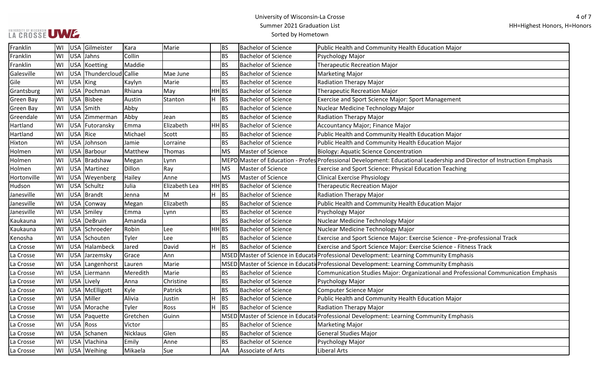# UWWERSITY OF WISCONSIN UWW

| Franklin         | WI | <b>USA</b>      | Gilmeister              | Kara     | Marie         | <b>BS</b>          | <b>Bachelor of Science</b> | Public Health and Community Health Education Major                                                                      |
|------------------|----|-----------------|-------------------------|----------|---------------|--------------------|----------------------------|-------------------------------------------------------------------------------------------------------------------------|
| Franklin         | WI | <b>USA</b>      | Jahns                   | Collin   |               | <b>BS</b>          | <b>Bachelor of Science</b> | Psychology Major                                                                                                        |
| Franklin         | WI |                 | USA Koetting            | Maddie   |               | <b>BS</b>          | <b>Bachelor of Science</b> | <b>Therapeutic Recreation Major</b>                                                                                     |
| Galesville       | WI |                 | USA Thundercloud Callie |          | Mae June      | <b>BS</b>          | <b>Bachelor of Science</b> | <b>Marketing Major</b>                                                                                                  |
| Gile             | WI | <b>USA</b>      | King                    | Kaylyn   | Marie         | <b>BS</b>          | <b>Bachelor of Science</b> | Radiation Therapy Major                                                                                                 |
| Grantsburg       | WI |                 | USA Pochman             | Rhiana   | May           | HH BS              | <b>Bachelor of Science</b> | <b>Therapeutic Recreation Major</b>                                                                                     |
| <b>Green Bay</b> | WI |                 | USA Bisbee              | Austin   | Stanton       | H<br><b>BS</b>     | <b>Bachelor of Science</b> | Exercise and Sport Science Major: Sport Management                                                                      |
| Green Bay        | WI | <b>USA</b>      | Smith                   | Abby     |               | <b>BS</b>          | <b>Bachelor of Science</b> | Nuclear Medicine Technology Major                                                                                       |
| Greendale        | WI | <b>USA</b>      | <b>Zimmerman</b>        | Abby     | Jean          | <b>BS</b>          | <b>Bachelor of Science</b> | Radiation Therapy Major                                                                                                 |
| Hartland         | WI | <b>USA</b>      | Futoransky              | Emma     | Elizabeth     | HH BS              | <b>Bachelor of Science</b> | Accountancy Major; Finance Major                                                                                        |
| Hartland         | WI |                 | USA Rice                | Michael  | Scott         | <b>BS</b>          | <b>Bachelor of Science</b> | Public Health and Community Health Education Major                                                                      |
| Hixton           | WI | <b>USA</b>      | Johnson                 | Jamie    | Lorraine      | <b>BS</b>          | <b>Bachelor of Science</b> | Public Health and Community Health Education Major                                                                      |
| Holmen           | WI |                 | USA Barbour             | Matthew  | Thomas        | <b>MS</b>          | Master of Science          | <b>Biology: Aquatic Science Concentration</b>                                                                           |
| Holmen           | WI |                 | USA Bradshaw            | Megan    | Lynn          |                    |                            | MEPD Master of Education - Profes Professional Development: Educational Leadership and Director of Instruction Emphasis |
| Holmen           | WI |                 | USA Martinez            | Dillon   | Ray           | <b>MS</b>          | Master of Science          | Exercise and Sport Science: Physical Education Teaching                                                                 |
| Hortonville      | WI |                 | USA Weyenberg           | Hailey   | Anne          | <b>MS</b>          | Master of Science          | <b>Clinical Exercise Physiology</b>                                                                                     |
| Hudson           | WI | <b>USA</b>      | Schultz                 | Julia    | Elizabeth Lea | HH BS              | <b>Bachelor of Science</b> | <b>Therapeutic Recreation Major</b>                                                                                     |
| Janesville       | WI |                 | USA   Brandt            | Jenna    | M             | H<br> BS           | <b>Bachelor of Science</b> | Radiation Therapy Major                                                                                                 |
| Janesville       | WI | <b>USA</b>      | Conway                  | Megan    | Elizabeth     | <b>BS</b>          | <b>Bachelor of Science</b> | Public Health and Community Health Education Major                                                                      |
| Janesville       | WI |                 | USA Smiley              | Emma     | Lynn          | <b>BS</b>          | <b>Bachelor of Science</b> | Psychology Major                                                                                                        |
| Kaukauna         | WI |                 | USA DeBruin             | Amanda   |               | <b>BS</b>          | <b>Bachelor of Science</b> | Nuclear Medicine Technology Major                                                                                       |
| Kaukauna         | WI |                 | USA Schroeder           | Robin    | Lee           | $HH$ <sub>BS</sub> | <b>Bachelor of Science</b> | Nuclear Medicine Technology Major                                                                                       |
| Kenosha          | WI |                 | USA Schouten            | Tyler    | Lee           | <b>BS</b>          | <b>Bachelor of Science</b> | Exercise and Sport Science Major: Exercise Science - Pre-professional Track                                             |
| La Crosse        | WI |                 | USA Halambeck           | Jared    | David         | BS<br>IH.          | <b>Bachelor of Science</b> | Exercise and Sport Science Major: Exercise Science - Fitness Track                                                      |
| La Crosse        | WI | <b>USA</b>      | Jarzemsky               | Grace    | Ann           |                    |                            | MSED Master of Science in Educati Professional Development: Learning Community Emphasis                                 |
| La Crosse        | WI | <b>USA</b>      | Langenhorst             | Lauren   | Marie         |                    |                            | MSED Master of Science in Educati Professional Development: Learning Community Emphasis                                 |
| La Crosse        | WI | <b>USA</b>      | Liermann                | Meredith | Marie         | <b>BS</b>          | <b>Bachelor of Science</b> | Communication Studies Major: Organizational and Professional Communication Emphasis                                     |
| La Crosse        | WI | <b>USA</b>      | Lively                  | Anna     | Christine     | <b>BS</b>          | <b>Bachelor of Science</b> | Psychology Major                                                                                                        |
| La Crosse        | WI |                 | USA   McElligott        | Kyle     | Patrick       | <b>BS</b>          | Bachelor of Science        | Computer Science Major                                                                                                  |
| La Crosse        | WI |                 | USA Miller              | Alivia   | Justin        | H<br><b>BS</b>     | <b>Bachelor of Science</b> | Public Health and Community Health Education Major                                                                      |
| La Crosse        |    |                 | WI USA Morache          | Tyler    | Ross          | H<br>BS            | <b>Bachelor of Science</b> | Radiation Therapy Major                                                                                                 |
| La Crosse        |    |                 | WI   USA   Paquette     | Gretchen | Guinn         |                    |                            | MSED Master of Science in Educati Professional Development: Learning Community Emphasis                                 |
| La Crosse        |    | WI   USA   Ross |                         | Victor   |               | <b>BS</b>          | <b>Bachelor of Science</b> | Marketing Major                                                                                                         |
| La Crosse        |    |                 | WI   USA   Schanen      | Nicklaus | Glen          | <b>BS</b>          | <b>Bachelor of Science</b> | General Studies Major                                                                                                   |
| La Crosse        |    |                 | WI   USA   Vlachina     | Emily    | Anne          | <b>BS</b>          | <b>Bachelor of Science</b> | Psychology Major                                                                                                        |
| La Crosse        |    |                 | WI   USA   Weihing      | Mikaela  | Sue           | AA                 | Associate of Arts          | Liberal Arts                                                                                                            |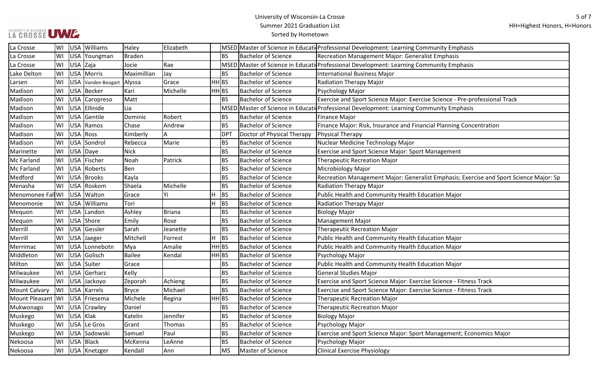| La Crosse                            | lwi  |            | USA Williams       | Haley         | Elizabeth     |                |                            | MSED Master of Science in Educati Professional Development: Learning Community Emphasis |
|--------------------------------------|------|------------|--------------------|---------------|---------------|----------------|----------------------------|-----------------------------------------------------------------------------------------|
| La Crosse                            | WI   |            | USA Youngman       | <b>Braden</b> |               | <b>BS</b>      | <b>Bachelor of Science</b> | <b>Recreation Management Major: Generalist Emphasis</b>                                 |
| La Crosse                            | WI   | USA Zaja   |                    | Jocie         | Rae           |                |                            | MSED Master of Science in Educati Professional Development: Learning Community Emphasis |
| Lake Delton                          | WI   |            | USA Morris         | Maximillian   | Jay           | <b>BS</b>      | <b>Bachelor of Science</b> | <b>International Business Major</b>                                                     |
| Larsen                               | WI   |            | USA Vanden Boogart | Alyssa        | Grace         | HH BS          | <b>Bachelor of Science</b> | Radiation Therapy Major                                                                 |
| Madison                              | WI   |            | USA Becker         | Kari          | Michelle      | HH BS          | <b>Bachelor of Science</b> | Psychology Major                                                                        |
| Madison                              | WI   |            | USA Caropreso      | Matt          |               | <b>BS</b>      | <b>Bachelor of Science</b> | Exercise and Sport Science Major: Exercise Science - Pre-professional Track             |
| Madison                              | WI   |            | USA Ellinide       | Lia           |               |                |                            | MSED Master of Science in Educati Professional Development: Learning Community Emphasis |
| Madison                              | WI   |            | USA Gentile        | Dominic       | Robert        | BS             | <b>Bachelor of Science</b> | <b>Finance Major</b>                                                                    |
| Madison                              | WI   | <b>USA</b> | Ramos              | Chase         | Andrew        | <b>BS</b>      | <b>Bachelor of Science</b> | Finance Major: Risk, Insurance and Financial Planning Concentration                     |
| Madison                              | WI   |            | USA Ross           | Kimberly      | А             | <b>DPT</b>     | Doctor of Physical Therapy | Physical Therapy                                                                        |
| Madison                              | WI   |            | USA Sondrol        | Rebecca       | Marie         | BS             | <b>Bachelor of Science</b> | Nuclear Medicine Technology Major                                                       |
| Marinette                            | WI   |            | USA Daye           | <b>Nick</b>   |               | <b>BS</b>      | <b>Bachelor of Science</b> | Exercise and Sport Science Major: Sport Management                                      |
| <b>Mc Farland</b>                    | WI   |            | USA Fischer        | Noah          | Patrick       | <b>BS</b>      | <b>Bachelor of Science</b> | <b>Therapeutic Recreation Major</b>                                                     |
| Mc Farland                           | WI   |            | USA Roberts        | Ben           |               | <b>BS</b>      | <b>Bachelor of Science</b> | Microbiology Major                                                                      |
| Medford                              | WI   |            | USA Brooks         | Kayla         |               | <b>BS</b>      | <b>Bachelor of Science</b> | Recreation Management Major: Generalist Emphasis; Exercise and Sport Science Major: Sp  |
| Menasha                              | lwi  |            | USA Roskom         | Shaela        | Michelle      | <b>BS</b>      | <b>Bachelor of Science</b> | Radiation Therapy Major                                                                 |
| Menomonee Fall WI                    |      |            | USA Walton         | Grace         | Yi            | н<br>BS        | <b>Bachelor of Science</b> | Public Health and Community Health Education Major                                      |
| Menomonie                            | WI   |            | USA Williams       | Tori          |               | н<br><b>BS</b> | <b>Bachelor of Science</b> | Radiation Therapy Major                                                                 |
| Mequon                               | WI   | <b>USA</b> | Landon             | Ashley        | <b>Briana</b> | ВS             | <b>Bachelor of Science</b> | <b>Biology Major</b>                                                                    |
| Mequon                               | WI   |            | USA Shore          | Emily         | Rose          | <b>BS</b>      | <b>Bachelor of Science</b> | <b>Management Major</b>                                                                 |
| Merrill                              | WI   |            | USA Gessler        | Sarah         | Jeanette      | <b>BS</b>      | <b>Bachelor of Science</b> | <b>Therapeutic Recreation Major</b>                                                     |
| Merrill                              | WI   |            | USA Jaeger         | Mitchell      | Forrest       | н<br><b>BS</b> | <b>Bachelor of Science</b> | Public Health and Community Health Education Major                                      |
| Merrimac                             | WI   |            | USA Lonnebotn      | Mya           | Amalie        | HH BS          | <b>Bachelor of Science</b> | Public Health and Community Health Education Major                                      |
| Middleton                            | WI   |            | USA Golisch        | <b>Bailee</b> | Kendal        | HH BS          | <b>Bachelor of Science</b> | Psychology Major                                                                        |
| Milton                               | WI   |            | USA Suiter         | Grace         |               | <b>BS</b>      | <b>Bachelor of Science</b> | Public Health and Community Health Education Major                                      |
| Milwaukee                            | WI   |            | USA Gerharz        | Kelly         |               | ΒS             | Bachelor of Science        | <b>General Studies Major</b>                                                            |
| Milwaukee                            | WI   |            | USA Jackoyo        | Zeporah       | Achieng       | <b>BS</b>      | <b>Bachelor of Science</b> | Exercise and Sport Science Major: Exercise Science - Fitness Track                      |
| <b>Mount Calvary</b>                 | WI   |            | USA Karrels        | <b>Bryce</b>  | Michael       | <b>BS</b>      | <b>Bachelor of Science</b> | Exercise and Sport Science Major: Exercise Science - Fitness Track                      |
| Mount Pleasant   WI   USA   Friesema |      |            |                    | Michele       | Regina        | HH BS          | <b>Bachelor of Science</b> | <b>Therapeutic Recreation Major</b>                                                     |
| Mukwonago                            |      |            | WI USA Crawley     | Daniel        |               | <b>BS</b>      | <b>Bachelor of Science</b> | <b>Therapeutic Recreation Major</b>                                                     |
| Muskego                              | lWI. | USA Klak   |                    | Katelin       | Jennifer      | BS             | <b>Bachelor of Science</b> | <b>Biology Major</b>                                                                    |
| Muskego                              | WI   |            | USA Le Gros        | Grant         | Thomas        | BS             | <b>Bachelor of Science</b> | Psychology Major                                                                        |
| Muskego                              | WI   |            | USA Sadowski       | Samuel        | Paul          | <b>BS</b>      | <b>Bachelor of Science</b> | Exercise and Sport Science Major: Sport Management; Economics Major                     |
| Nekoosa                              | WI   |            | USA Black          | McKenna       | LeAnne        | <b>BS</b>      | Bachelor of Science        | Psychology Major                                                                        |
| Nekoosa                              | WI   |            | USA   Knetzger     | Kendall       | Ann           | <b>MS</b>      | Master of Science          | <b>Clinical Exercise Physiology</b>                                                     |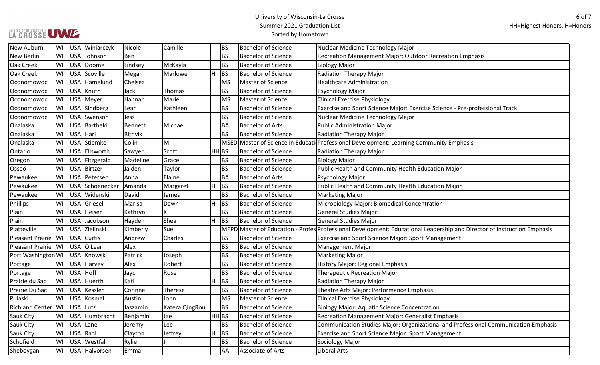| New Auburn              | WI  | USA Winiarczyk          | Nicole   | Camille        | <b>BS</b>      | <b>Bachelor of Science</b> | Nuclear Medicine Technology Major                                                                                       |
|-------------------------|-----|-------------------------|----------|----------------|----------------|----------------------------|-------------------------------------------------------------------------------------------------------------------------|
| New Berlin              | WI  | <b>USA</b><br>Johnson   | Ben      |                | <b>BS</b>      | <b>Bachelor of Science</b> | Recreation Management Major: Outdoor Recreation Emphasis                                                                |
| Oak Creek               | WI  | USA Doome               | Lindsey  | McKayla        | <b>BS</b>      | <b>Bachelor of Science</b> | <b>Biology Major</b>                                                                                                    |
| <b>Oak Creek</b>        | WI  | USA Scoville            | Megan    | Marlowe        | H<br><b>BS</b> | <b>Bachelor of Science</b> | <b>Radiation Therapy Major</b>                                                                                          |
| Oconomowoc              | WI  | USA Hamelund            | Chelsea  |                | <b>MS</b>      | Master of Science          | <b>Healthcare Administration</b>                                                                                        |
| Oconomowoc              | WI  | USA Knuth               | Jack     | Thomas         | <b>BS</b>      | <b>Bachelor of Science</b> | Psychology Major                                                                                                        |
| Oconomowoc              | WI  | USA Meyer               | Hannah   | Marie          | <b>MS</b>      | Master of Science          | <b>Clinical Exercise Physiology</b>                                                                                     |
| Oconomowoc              | WI  | USA Sindberg            | Leah     | Kathleen       | <b>BS</b>      | <b>Bachelor of Science</b> | Exercise and Sport Science Major: Exercise Science - Pre-professional Track                                             |
| Oconomowoc              | WI  | USA Swenson             | Jess     |                | <b>BS</b>      | <b>Bachelor of Science</b> | Nuclear Medicine Technology Major                                                                                       |
| Onalaska                | WI  | USA   Bartheld          | Bennett  | Michael        | <b>BA</b>      | <b>Bachelor of Arts</b>    | <b>Public Administration Major</b>                                                                                      |
| <b>Onalaska</b>         | WI  | USA Hari                | Rithvik  |                | <b>BS</b>      | <b>Bachelor of Science</b> | <b>Radiation Therapy Major</b>                                                                                          |
| <b>Onalaska</b>         | WI  | <b>USA</b><br>Stiemke   | Colin    | М              |                |                            | MSED Master of Science in Educati Professional Development: Learning Community Emphasis                                 |
| Ontario                 | WI  | <b>USA</b><br>Ellsworth | Sawyer   | Scott          | HH BS          | <b>Bachelor of Science</b> | <b>Radiation Therapy Major</b>                                                                                          |
| Oregon                  | WI  | USA Fitzgerald          | Madeline | Grace          | <b>BS</b>      | <b>Bachelor of Science</b> | <b>Biology Major</b>                                                                                                    |
| Osseo                   | WI  | USA Birtzer             | Jaiden   | Taylor         | <b>BS</b>      | <b>Bachelor of Science</b> | Public Health and Community Health Education Major                                                                      |
| Pewaukee                | WI  | USA Petersen            | Anna     | Elaine         | <b>BA</b>      | <b>Bachelor of Arts</b>    | Psychology Major                                                                                                        |
| Pewaukee                | WI  | USA Schoenecker         | Amanda   | Margaret       | H<br><b>BS</b> | <b>Bachelor of Science</b> | Public Health and Community Health Education Major                                                                      |
| Pewaukee                | WI  | USA Widenski            | David    | James          | <b>BS</b>      | <b>Bachelor of Science</b> | <b>Marketing Major</b>                                                                                                  |
| Phillips                | WI  | <b>USA</b><br>Griesel   | Marisa   | Dawn           | H<br>BS        | <b>Bachelor of Science</b> | Microbiology Major: Biomedical Concentration                                                                            |
| Plain                   | WI  | USA<br>Heiser           | Kathryn  | K              | <b>BS</b>      | <b>Bachelor of Science</b> | <b>General Studies Major</b>                                                                                            |
| Plain                   | WI  | USA Jacobson            | Hayden   | Shea           | H<br>BS        | <b>Bachelor of Science</b> | <b>General Studies Major</b>                                                                                            |
| Platteville             | WI  | <b>USA</b><br>Zielinski | Kimberly | Sue            |                |                            | MEPD Master of Education - Profes Professional Development: Educational Leadership and Director of Instruction Emphasis |
| <b>Pleasant Prairie</b> | WI  | <b>USA</b><br>Curtis    | Andrew   | Charles        | <b>BS</b>      | <b>Bachelor of Science</b> | <b>Exercise and Sport Science Major: Sport Management</b>                                                               |
| Pleasant Prairie        | lwı | USA O'Lear              | Alex     |                | <b>BS</b>      | <b>Bachelor of Science</b> | Management Major                                                                                                        |
| Port Washington WI      |     | USA Knowski             | Patrick  | Joseph         | <b>BS</b>      | <b>Bachelor of Science</b> | Marketing Major                                                                                                         |
| Portage                 | WI  | <b>USA</b><br>Harvey    | Alex     | Robert         | ΒS             | <b>Bachelor of Science</b> | <b>History Major: Regional Emphasis</b>                                                                                 |
| Portage                 | WI  | USA Hoff                | Jayci    | Rose           | <b>BS</b>      | <b>Bachelor of Science</b> | <b>Therapeutic Recreation Major</b>                                                                                     |
| Prairie du Sac          | WI  | USA Huerth              | Kati     |                | H<br><b>BS</b> | <b>Bachelor of Science</b> | <b>Radiation Therapy Major</b>                                                                                          |
| Prairie Du Sac          | WI  | USA Kessler             | Corinne  | Therese        | <b>BS</b>      | <b>Bachelor of Science</b> | Theatre Arts Major: Performance Emphasis                                                                                |
| Pulaski                 | WI  | USA<br>Kosmal           | Austin   | John           | <b>MS</b>      | Master of Science          | <b>Clinical Exercise Physiology</b>                                                                                     |
| <b>Richland Center</b>  | lwı | USA Lutz                | Jaszamin | Katera QingRou | <b>BS</b>      | <b>Bachelor of Science</b> | <b>Biology Major: Aquatic Science Concentration</b>                                                                     |
| Sauk City               | WI  | USA<br>Humbracht        | Benjamin | Jae            | HH BS          | <b>Bachelor of Science</b> | Recreation Management Major: Generalist Emphasis                                                                        |
| Sauk City               | lwı | USA Lane                | Jeremy   | Lee            | <b>BS</b>      | <b>Bachelor of Science</b> | Communication Studies Major: Organizational and Professional Communication Emphasis                                     |
| Sauk City               | WI  | USA Radl                | Clayton  | Jeffrey        | H<br>BS        | <b>Bachelor of Science</b> | Exercise and Sport Science Major: Sport Management                                                                      |
| Schofield               | WI  | USA Westfall            | Rylie    |                | <b>BS</b>      | <b>Bachelor of Science</b> | Sociology Major                                                                                                         |
| Sheboygan               | WI  | USA Halvorsen           | Emma     |                | AA             | Associate of Arts          | Liberal Arts                                                                                                            |